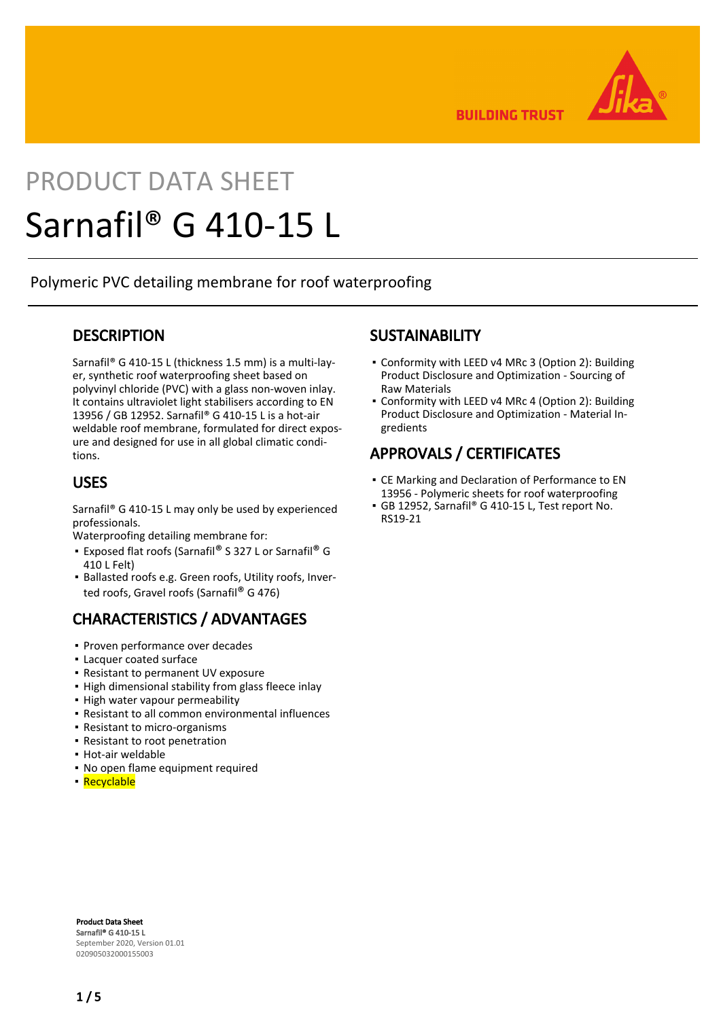

**BUILDING TRUST** 

# PRODUCT DATA SHEET Sarnafil® G 410-15 L

Polymeric PVC detailing membrane for roof waterproofing

## **DESCRIPTION**

Sarnafil® G 410-15 L (thickness 1.5 mm) is a multi-layer, synthetic roof waterproofing sheet based on polyvinyl chloride (PVC) with a glass non-woven inlay. It contains ultraviolet light stabilisers according to EN 13956 / GB 12952. Sarnafil® G 410-15 L is a hot-air weldable roof membrane, formulated for direct exposure and designed for use in all global climatic conditions.

## USES

Sarnafil® G 410-15 L may only be used by experienced professionals.

Waterproofing detailing membrane for:

- Exposed flat roofs (Sarnafil® S 327 L or Sarnafil® G 410 L Felt)
- **Ballasted roofs e.g. Green roofs, Utility roofs, Inver**ted roofs, Gravel roofs (Sarnafil® G 476)

# CHARACTERISTICS / ADVANTAGES

- Proven performance over decades
- Lacquer coated surface
- Resistant to permanent UV exposure
- **.** High dimensional stability from glass fleece inlay
- High water vapour permeability
- Resistant to all common environmental influences
- Resistant to micro-organisms
- Resistant to root penetration
- Hot-air weldable
- No open flame equipment required
- Recyclable

## **SUSTAINABILITY**

- Conformity with LEED v4 MRc 3 (Option 2): Building Product Disclosure and Optimization - Sourcing of Raw Materials
- Conformity with LEED v4 MRc 4 (Option 2): Building Product Disclosure and Optimization - Material Ingredients

# APPROVALS / CERTIFICATES

- CE Marking and Declaration of Performance to EN 13956 - Polymeric sheets for roof waterproofing
- GB 12952, Sarnafil® G 410-15 L, Test report No. RS19-21

Product Data Sheet Sarnafil® G 410-15 L September 2020, Version 01.01 020905032000155003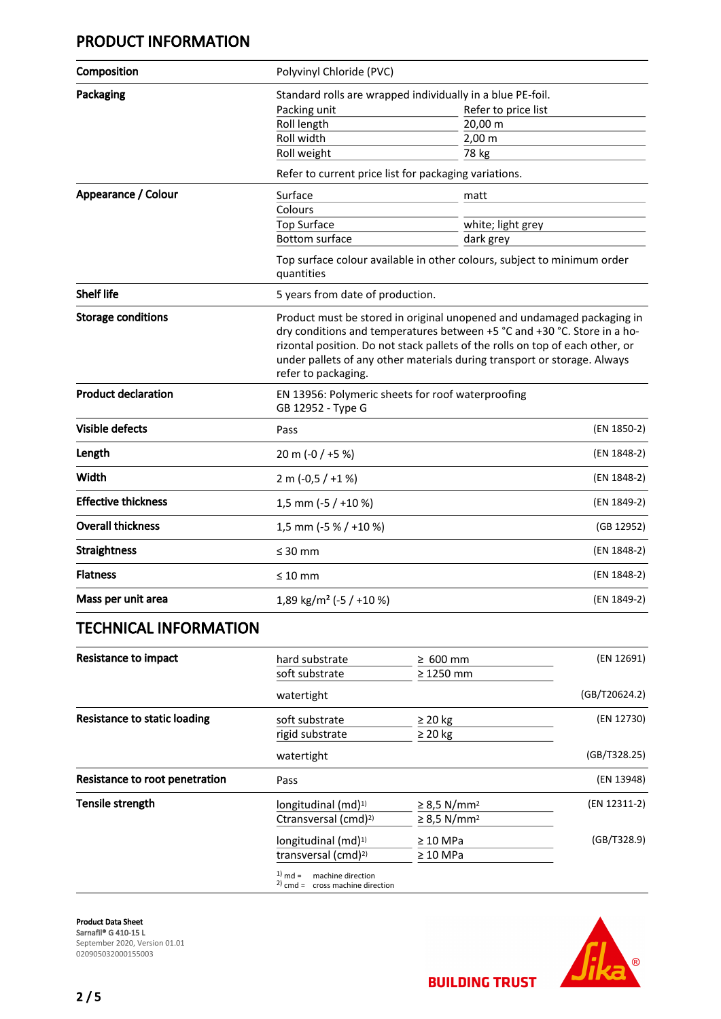# PRODUCT INFORMATION

| Composition                  | Polyvinyl Chloride (PVC)                                                                                                                                                                                                                                                                                                               |                       |               |  |
|------------------------------|----------------------------------------------------------------------------------------------------------------------------------------------------------------------------------------------------------------------------------------------------------------------------------------------------------------------------------------|-----------------------|---------------|--|
| Packaging                    | Standard rolls are wrapped individually in a blue PE-foil.                                                                                                                                                                                                                                                                             |                       |               |  |
|                              | Packing unit                                                                                                                                                                                                                                                                                                                           | Refer to price list   |               |  |
|                              | Roll length                                                                                                                                                                                                                                                                                                                            | 20,00 m               |               |  |
|                              | Roll width                                                                                                                                                                                                                                                                                                                             | $2,00 \, \text{m}$    |               |  |
|                              | Roll weight                                                                                                                                                                                                                                                                                                                            | 78 kg                 |               |  |
|                              | Refer to current price list for packaging variations.                                                                                                                                                                                                                                                                                  |                       |               |  |
| Appearance / Colour          | Surface                                                                                                                                                                                                                                                                                                                                | matt                  |               |  |
|                              | Colours                                                                                                                                                                                                                                                                                                                                |                       |               |  |
|                              | <b>Top Surface</b>                                                                                                                                                                                                                                                                                                                     | white; light grey     |               |  |
|                              | <b>Bottom surface</b>                                                                                                                                                                                                                                                                                                                  | dark grey             |               |  |
|                              | Top surface colour available in other colours, subject to minimum order<br>quantities                                                                                                                                                                                                                                                  |                       |               |  |
| <b>Shelf life</b>            | 5 years from date of production.                                                                                                                                                                                                                                                                                                       |                       |               |  |
| <b>Storage conditions</b>    | Product must be stored in original unopened and undamaged packaging in<br>dry conditions and temperatures between +5 °C and +30 °C. Store in a ho-<br>rizontal position. Do not stack pallets of the rolls on top of each other, or<br>under pallets of any other materials during transport or storage. Always<br>refer to packaging. |                       |               |  |
| <b>Product declaration</b>   | EN 13956: Polymeric sheets for roof waterproofing<br>GB 12952 - Type G                                                                                                                                                                                                                                                                 |                       |               |  |
| <b>Visible defects</b>       | Pass                                                                                                                                                                                                                                                                                                                                   |                       | (EN 1850-2)   |  |
| Length                       | 20 m (-0 / +5 %)                                                                                                                                                                                                                                                                                                                       |                       | (EN 1848-2)   |  |
| Width                        | $2 m (-0.5 / +1%)$                                                                                                                                                                                                                                                                                                                     |                       |               |  |
| <b>Effective thickness</b>   | 1,5 mm (-5 / +10 %)                                                                                                                                                                                                                                                                                                                    |                       |               |  |
| <b>Overall thickness</b>     |                                                                                                                                                                                                                                                                                                                                        | 1,5 mm (-5 % / +10 %) |               |  |
| <b>Straightness</b>          | $\leq 30$ mm                                                                                                                                                                                                                                                                                                                           |                       | (EN 1848-2)   |  |
| <b>Flatness</b>              | $\leq 10$ mm                                                                                                                                                                                                                                                                                                                           |                       | (EN 1848-2)   |  |
| Mass per unit area           | 1,89 kg/m <sup>2</sup> (-5 / +10 %)                                                                                                                                                                                                                                                                                                    |                       | (EN 1849-2)   |  |
| <b>TECHNICAL INFORMATION</b> |                                                                                                                                                                                                                                                                                                                                        |                       |               |  |
| <b>Resistance to impact</b>  | hard substrate                                                                                                                                                                                                                                                                                                                         | $\geq 600$ mm         | (EN 12691)    |  |
|                              | soft substrate                                                                                                                                                                                                                                                                                                                         | $\geq 1250$ mm        |               |  |
|                              | watertight                                                                                                                                                                                                                                                                                                                             |                       | (GB/T20624.2) |  |
| Doolatanaa ta'atatin laadin  |                                                                                                                                                                                                                                                                                                                                        |                       |               |  |

| Resistance to static loading   | soft substrate                                                        | $\geq$ 20 kg                 | (EN 12730)   |
|--------------------------------|-----------------------------------------------------------------------|------------------------------|--------------|
|                                | rigid substrate                                                       | $\geq 20$ kg                 |              |
|                                | watertight                                                            |                              | (GB/T328.25) |
| Resistance to root penetration | Pass                                                                  |                              | (EN 13948)   |
| Tensile strength               | longitudinal $(md)^{1}$                                               | $\geq$ 8,5 N/mm <sup>2</sup> | (EN 12311-2) |
|                                | Ctransversal (cmd) <sup>2)</sup>                                      | $\geq$ 8,5 N/mm <sup>2</sup> |              |
|                                | longitudinal (md) <sup>1)</sup>                                       | $\geq 10$ MPa                | (GB/T328.9)  |
|                                | transversal (cmd) <sup>2)</sup>                                       | $\geq 10$ MPa                |              |
|                                | $1)$ md =<br>machine direction<br>$2$ ) cmd = cross machine direction |                              |              |

Product Data Sheet Sarnafil® G 410-15 L September 2020, Version 01.01 020905032000155003

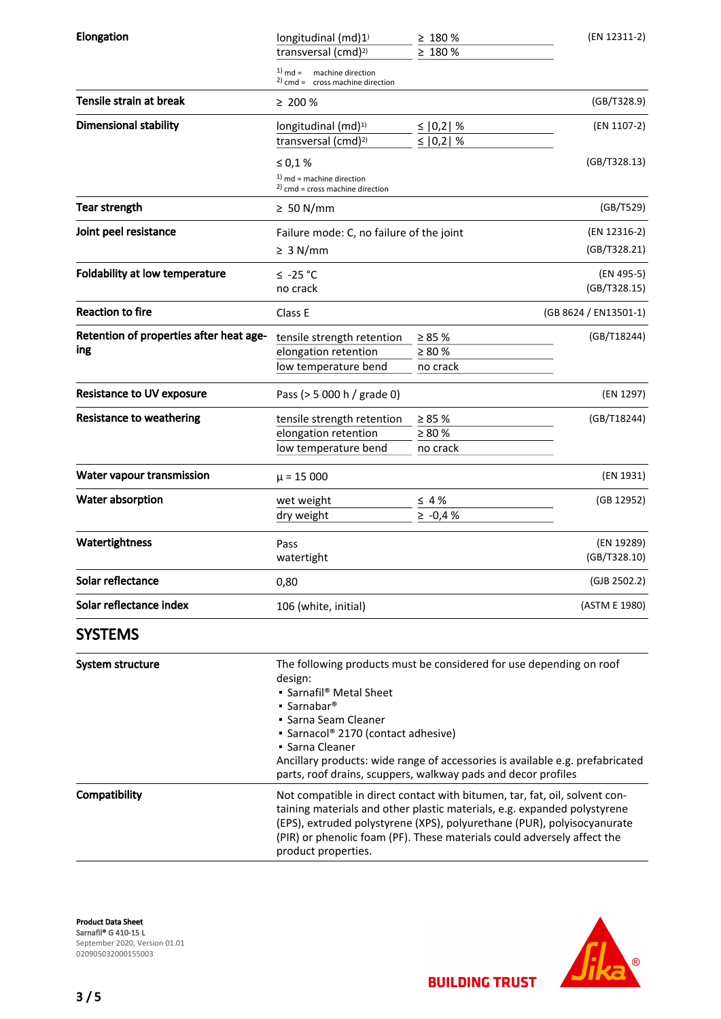| Elongation                              | longitudinal (md)1)<br>transversal (cmd) <sup>2)</sup>                                                                                                                                                                                                                                                                                                                                | $\geq 180 \%$<br>$\geq 180 \%$ | (EN 12311-2)               |  |
|-----------------------------------------|---------------------------------------------------------------------------------------------------------------------------------------------------------------------------------------------------------------------------------------------------------------------------------------------------------------------------------------------------------------------------------------|--------------------------------|----------------------------|--|
|                                         | $1)$ md = machine direction<br>$2)$ cmd = cross machine direction                                                                                                                                                                                                                                                                                                                     |                                |                            |  |
| Tensile strain at break                 | $\geq 200 \%$                                                                                                                                                                                                                                                                                                                                                                         |                                | (GB/T328.9)                |  |
| <b>Dimensional stability</b>            | longitudinal (md) <sup>1)</sup><br>transversal (cmd) <sup>2)</sup>                                                                                                                                                                                                                                                                                                                    | ≤ $ 0,2 $ %<br>≤ $ 0,2 $ %     | (EN 1107-2)                |  |
|                                         | $\leq 0,1$ %                                                                                                                                                                                                                                                                                                                                                                          |                                | (GB/T328.13)               |  |
|                                         | $1)$ md = machine direction<br>$^{2)}$ cmd = cross machine direction                                                                                                                                                                                                                                                                                                                  |                                |                            |  |
| Tear strength                           | $\geq 50$ N/mm                                                                                                                                                                                                                                                                                                                                                                        |                                | (GB/T529)                  |  |
| Joint peel resistance                   | Failure mode: C, no failure of the joint                                                                                                                                                                                                                                                                                                                                              |                                | (EN 12316-2)               |  |
|                                         | $\geq 3$ N/mm                                                                                                                                                                                                                                                                                                                                                                         |                                | (GB/T328.21)               |  |
| Foldability at low temperature          | $≤ -25 °C$<br>no crack                                                                                                                                                                                                                                                                                                                                                                |                                | (EN 495-5)<br>(GB/T328.15) |  |
|                                         |                                                                                                                                                                                                                                                                                                                                                                                       |                                |                            |  |
| <b>Reaction to fire</b>                 | Class E                                                                                                                                                                                                                                                                                                                                                                               |                                | (GB 8624 / EN13501-1)      |  |
| Retention of properties after heat age- | tensile strength retention                                                                                                                                                                                                                                                                                                                                                            | $\geq 85 \%$                   | (GB/T18244)                |  |
| ing                                     | elongation retention                                                                                                                                                                                                                                                                                                                                                                  | $\geq 80\%$                    |                            |  |
|                                         | low temperature bend                                                                                                                                                                                                                                                                                                                                                                  | no crack                       |                            |  |
| <b>Resistance to UV exposure</b>        | Pass (> 5 000 h / grade 0)                                                                                                                                                                                                                                                                                                                                                            |                                | (EN 1297)                  |  |
| <b>Resistance to weathering</b>         | tensile strength retention                                                                                                                                                                                                                                                                                                                                                            | $\geq 85 \%$                   | (GB/T18244)                |  |
|                                         | elongation retention                                                                                                                                                                                                                                                                                                                                                                  | $\geq 80 \%$                   |                            |  |
|                                         | low temperature bend                                                                                                                                                                                                                                                                                                                                                                  | no crack                       |                            |  |
| Water vapour transmission               | $\mu$ = 15 000                                                                                                                                                                                                                                                                                                                                                                        |                                | (EN 1931)                  |  |
| Water absorption                        | wet weight                                                                                                                                                                                                                                                                                                                                                                            | $\leq 4\%$                     | (GB 12952)                 |  |
|                                         | dry weight                                                                                                                                                                                                                                                                                                                                                                            | $\ge -0.4 %$                   |                            |  |
| Watertightness                          | Pass                                                                                                                                                                                                                                                                                                                                                                                  |                                | (EN 19289)                 |  |
|                                         | watertight                                                                                                                                                                                                                                                                                                                                                                            |                                | (GB/T328.10)               |  |
| Solar reflectance                       | 0,80                                                                                                                                                                                                                                                                                                                                                                                  |                                | (GJB 2502.2)               |  |
| Solar reflectance index                 | 106 (white, initial)                                                                                                                                                                                                                                                                                                                                                                  |                                | (ASTM E 1980)              |  |
| <b>SYSTEMS</b>                          |                                                                                                                                                                                                                                                                                                                                                                                       |                                |                            |  |
| System structure                        | The following products must be considered for use depending on roof<br>design:<br>• Sarnafil® Metal Sheet<br>$\blacksquare$ Sarnabar <sup>®</sup><br>• Sarna Seam Cleaner<br>• Sarnacol® 2170 (contact adhesive)<br>• Sarna Cleaner<br>Ancillary products: wide range of accessories is available e.g. prefabricated<br>parts, roof drains, scuppers, walkway pads and decor profiles |                                |                            |  |
| Compatibility                           | Not compatible in direct contact with bitumen, tar, fat, oil, solvent con-<br>taining materials and other plastic materials, e.g. expanded polystyrene<br>(EPS), extruded polystyrene (XPS), polyurethane (PUR), polyisocyanurate<br>(PIR) or phenolic foam (PF). These materials could adversely affect the<br>product properties.                                                   |                                |                            |  |

Product Data Sheet Sarnafil® G 410-15 L September 2020, Version 01.01 020905032000155003



3 / 5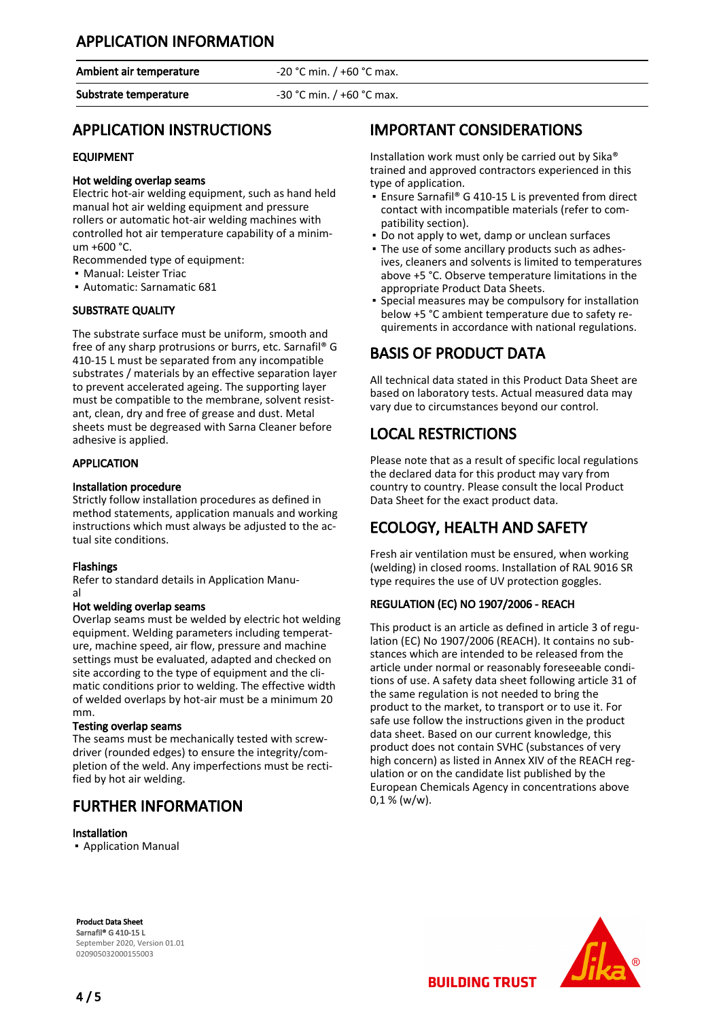## APPLICATION INFORMATION

Ambient air temperature  $-20$  °C min. / +60 °C max.

Substrate temperature -30 °C min. / +60 °C max.

## APPLICATION INSTRUCTIONS

#### EQUIPMENT

#### Hot welding overlap seams

Electric hot-air welding equipment, such as hand held manual hot air welding equipment and pressure rollers or automatic hot-air welding machines with controlled hot air temperature capability of a minimum +600 °C.

Recommended type of equipment:

- Manual: Leister Triac
- Automatic: Sarnamatic 681

#### SUBSTRATE QUALITY

The substrate surface must be uniform, smooth and free of any sharp protrusions or burrs, etc. Sarnafil® G 410-15 L must be separated from any incompatible substrates / materials by an effective separation layer to prevent accelerated ageing. The supporting layer must be compatible to the membrane, solvent resistant, clean, dry and free of grease and dust. Metal sheets must be degreased with Sarna Cleaner before adhesive is applied.

#### **APPLICATION**

#### Installation procedure

Strictly follow installation procedures as defined in method statements, application manuals and working instructions which must always be adjusted to the actual site conditions.

#### Flashings

Refer to standard details in Application Manual

#### Hot welding overlap seams

Overlap seams must be welded by electric hot welding equipment. Welding parameters including temperature, machine speed, air flow, pressure and machine settings must be evaluated, adapted and checked on site according to the type of equipment and the climatic conditions prior to welding. The effective width of welded overlaps by hot-air must be a minimum 20 mm.

#### Testing overlap seams

The seams must be mechanically tested with screwdriver (rounded edges) to ensure the integrity/completion of the weld. Any imperfections must be rectified by hot air welding.

## FURTHER INFORMATION

#### Installation

▪ Application Manual

# IMPORTANT CONSIDERATIONS

Installation work must only be carried out by Sika® trained and approved contractors experienced in this type of application.

- Ensure Sarnafil® G 410-15 L is prevented from direct contact with incompatible materials (refer to compatibility section).
- Do not apply to wet, damp or unclean surfaces
- The use of some ancillary products such as adhes-▪ ives, cleaners and solvents is limited to temperatures above +5 °C. Observe temperature limitations in the appropriate Product Data Sheets.
- **•** Special measures may be compulsory for installation below +5 °C ambient temperature due to safety requirements in accordance with national regulations.

## BASIS OF PRODUCT DATA

All technical data stated in this Product Data Sheet are based on laboratory tests. Actual measured data may vary due to circumstances beyond our control.

## LOCAL RESTRICTIONS

Please note that as a result of specific local regulations the declared data for this product may vary from country to country. Please consult the local Product Data Sheet for the exact product data.

# ECOLOGY, HEALTH AND SAFETY

Fresh air ventilation must be ensured, when working (welding) in closed rooms. Installation of RAL 9016 SR type requires the use of UV protection goggles.

#### REGULATION (EC) NO 1907/2006 - REACH

This product is an article as defined in article 3 of regulation (EC) No 1907/2006 (REACH). It contains no substances which are intended to be released from the article under normal or reasonably foreseeable conditions of use. A safety data sheet following article 31 of the same regulation is not needed to bring the product to the market, to transport or to use it. For safe use follow the instructions given in the product data sheet. Based on our current knowledge, this product does not contain SVHC (substances of very high concern) as listed in Annex XIV of the REACH regulation or on the candidate list published by the European Chemicals Agency in concentrations above  $0,1 %$  (w/w).

Product Data Sheet Sarnafil® G 410-15 L September 2020, Version 01.01 020905032000155003



4 / 5

**BUILDING TRUST**